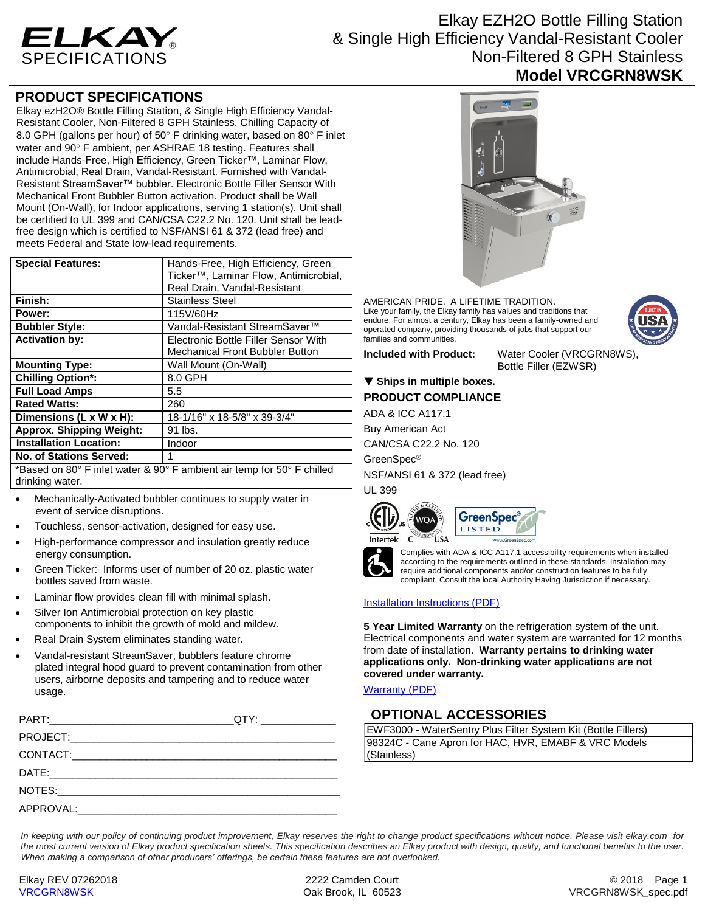

# Elkay EZH2O Bottle Filling Station & Single High Efficiency Vandal-Resistant Cooler Non-Filtered 8 GPH Stainless **Model VRCGRN8WSK**

### **PRODUCT SPECIFICATIONS**

Elkay ezH2O® Bottle Filling Station, & Single High Efficiency Vandal-Resistant Cooler, Non-Filtered 8 GPH Stainless. Chilling Capacity of 8.0 GPH (gallons per hour) of 50 $\degree$  F drinking water, based on 80 $\degree$  F inlet water and 90° F ambient, per ASHRAE 18 testing. Features shall include Hands-Free, High Efficiency, Green Ticker™, Laminar Flow, Antimicrobial, Real Drain, Vandal-Resistant. Furnished with Vandal-Resistant StreamSaver™ bubbler. Electronic Bottle Filler Sensor With Mechanical Front Bubbler Button activation. Product shall be Wall Mount (On-Wall), for Indoor applications, serving 1 station(s). Unit shall be certified to UL 399 and CAN/CSA C22.2 No. 120. Unit shall be leadfree design which is certified to NSF/ANSI 61 & 372 (lead free) and meets Federal and State low-lead requirements.

| <b>Special Features:</b>                                               | Hands-Free, High Efficiency, Green     |
|------------------------------------------------------------------------|----------------------------------------|
|                                                                        | Ticker™, Laminar Flow, Antimicrobial,  |
|                                                                        | Real Drain, Vandal-Resistant           |
| Finish:                                                                | <b>Stainless Steel</b>                 |
| Power:                                                                 | 115V/60Hz                              |
| <b>Bubbler Style:</b>                                                  | Vandal-Resistant StreamSaver™          |
| <b>Activation by:</b>                                                  | Electronic Bottle Filler Sensor With   |
|                                                                        | <b>Mechanical Front Bubbler Button</b> |
| <b>Mounting Type:</b>                                                  | Wall Mount (On-Wall)                   |
| <b>Chilling Option*:</b>                                               | 8.0 GPH                                |
| <b>Full Load Amps</b>                                                  | 5.5                                    |
| <b>Rated Watts:</b>                                                    | 260                                    |
| Dimensions (L x W x H):                                                | 18-1/16" x 18-5/8" x 39-3/4"           |
| <b>Approx. Shipping Weight:</b>                                        | 91 lbs.                                |
| <b>Installation Location:</b>                                          | Indoor                                 |
| No. of Stations Served:                                                | 1                                      |
| *Reead an 80° E inlet water 8,00° E ambient air temp for E0° E abilled |                                        |

Based on 80° F inlet water & 90° F ambient air temp for 50° F chilled drinking water.

- Mechanically-Activated bubbler continues to supply water in event of service disruptions.
- Touchless, sensor-activation, designed for easy use.
- High-performance compressor and insulation greatly reduce energy consumption.
- Green Ticker: Informs user of number of 20 oz. plastic water bottles saved from waste.
- Laminar flow provides clean fill with minimal splash.
- Silver Ion Antimicrobial protection on key plastic components to inhibit the growth of mold and mildew.
- Real Drain System eliminates standing water.
- Vandal-resistant StreamSaver, bubblers feature chrome plated integral hood guard to prevent contamination from other users, airborne deposits and tampering and to reduce water usage.

| PART: QTY: |  |
|------------|--|
|            |  |
|            |  |
|            |  |
|            |  |
|            |  |



AMERICAN PRIDE. A LIFETIME TRADITION. Like your family, the Elkay family has values and traditions that endure. For almost a century, Elkay has been a family-owned and operated company, providing thousands of jobs that support our families and communities.

**Included with Product:** Water Cooler (VRCGRN8WS), Bottle Filler (EZWSR)

#### ▼ Ships in multiple boxes. **PRODUCT COMPLIANCE**

ADA & ICC A117.1

Buy American Act

CAN/CSA C22.2 No. 120

GreenSpec®

NSF/ANSI 61 & 372 (lead free) UL 399







Complies with ADA & ICC A117.1 accessibility requirements when installed according to the requirements outlined in these standards. Installation may require additional components and/or construction features to be fully compliant. Consult the local Authority Having Jurisdiction if necessary.

[Installation Instructions \(PDF\)](http://www.elkay.com/wcsstore/lkdocs/care-cleaning-install-warranty-sheets/1000001741.pdf)

**5 Year Limited Warranty** on the refrigeration system of the unit. Electrical components and water system are warranted for 12 months from date of installation. **Warranty pertains to drinking water applications only. Non-drinking water applications are not covered under warranty.**

[Warranty](http://www.elkay.com/wcsstore/lkdocs/care-cleaning-install-warranty-sheets/96993c.pdf) (PDF)

# **OPTIONAL ACCESSORIES**

EWF3000 - WaterSentry Plus Filter System Kit (Bottle Fillers) 98324C - Cane Apron for HAC, HVR, EMABF & VRC Models (Stainless)

*In keeping with our policy of continuing product improvement, Elkay reserves the right to change product specifications without notice. Please visit elkay.com for the most current version of Elkay product specification sheets. This specification describes an Elkay product with design, quality, and functional benefits to the user. When making a comparison of other producers' offerings, be certain these features are not overlooked.*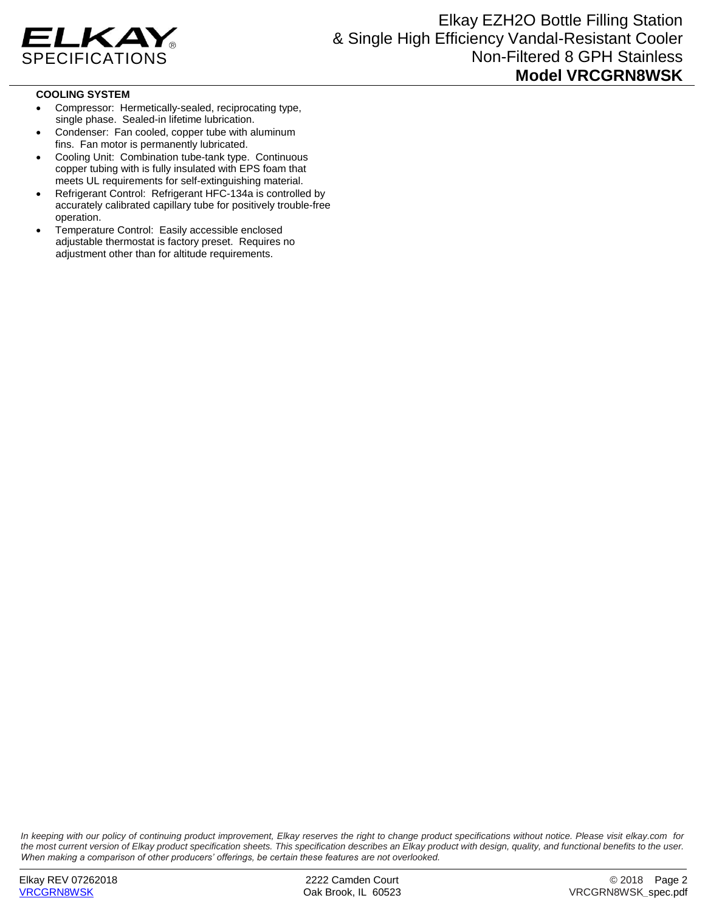

#### **COOLING SYSTEM**

- Compressor: Hermetically-sealed, reciprocating type, single phase. Sealed-in lifetime lubrication.
- Condenser: Fan cooled, copper tube with aluminum fins. Fan motor is permanently lubricated.
- Cooling Unit: Combination tube-tank type. Continuous copper tubing with is fully insulated with EPS foam that meets UL requirements for self-extinguishing material.
- Refrigerant Control: Refrigerant HFC-134a is controlled by accurately calibrated capillary tube for positively trouble-free operation.
- Temperature Control: Easily accessible enclosed adjustable thermostat is factory preset. Requires no adjustment other than for altitude requirements.

*In keeping with our policy of continuing product improvement, Elkay reserves the right to change product specifications without notice. Please visit elkay.com for the most current version of Elkay product specification sheets. This specification describes an Elkay product with design, quality, and functional benefits to the user. When making a comparison of other producers' offerings, be certain these features are not overlooked.*